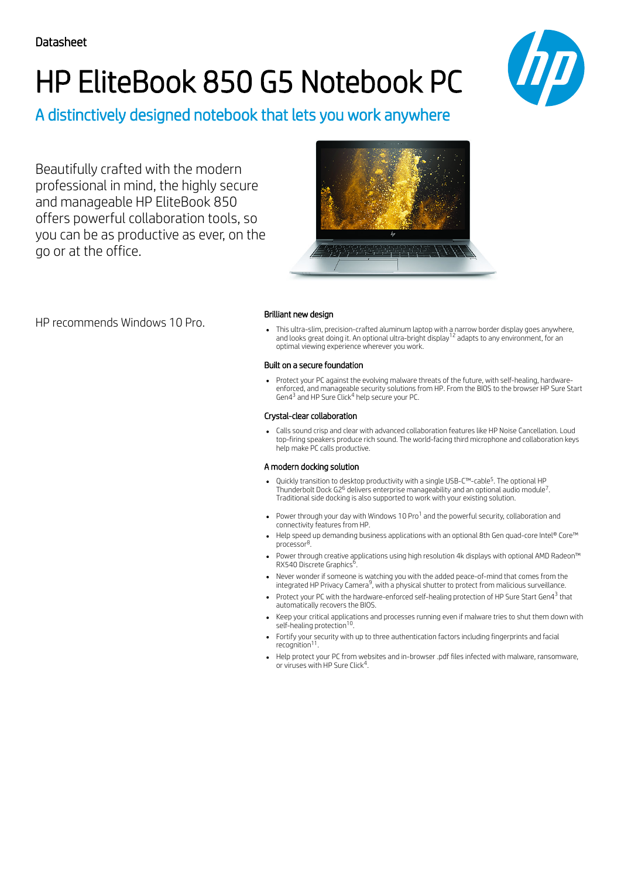# HP EliteBook 850 G5 Notebook PC



A distinctively designed notebook that lets you work anywhere

Beautifully crafted with the modern professional in mind, the highly secure and manageable HP EliteBook 850 offers powerful collaboration tools, so you can be as productive as ever, on the go or at the office.



### Brilliant new design

This ultra-slim, precision-crafted aluminum laptop with a narrow border display goes anywhere, and looks great doing it. An optional ultra-bright display<sup>12</sup> adapts to any environment, for an optimal viewing experience wherever you work.

### Built on a secure foundation

Protect your PC against the evolving malware threats of the future, with self-healing, hardwareenforced, and manageable security solutions from HP. From the BIOS to the browser HP Sure Start Gen4<sup>3</sup> and HP Sure Click<sup>4</sup> help secure your PC.

### Crystal-clear collaboration

Calls sound crisp and clear with advanced collaboration features like HP Noise Cancellation. Loud top-firing speakers produce rich sound. The world-facing third microphone and collaboration keys help make PC calls productive.

### A modern docking solution

- Quickly transition to desktop productivity with a single USB-C™-cable<sup>5</sup>. The optional HP Thunderbolt Dock G2<sup>6</sup> delivers enterprise manageability and an optional audio module<sup>7</sup>. Traditional side docking is also supported to work with your existing solution.
- Power through your day with Windows 10 Pro<sup>1</sup> and the powerful security, collaboration and connectivity features from HP.
- Help speed up demanding business applications with an optional 8th Gen quad-core Intel® Core™ processor<sup>8</sup>.
- Power through creative applications using high resolution 4k displays with optional AMD Radeon™ RX540 Discrete Graphics<sup>6</sup>.
- Never wonder if someone is watching you with the added peace-of-mind that comes from the integrated HP Privacy Camera<sup>9</sup>, with a physical shutter to protect from malicious surveillance.
- Protect your PC with the hardware-enforced self-healing protection of HP Sure Start Gen4<sup>3</sup> that automatically recovers the BIOS.
- Keep your critical applications and processes running even if malware tries to shut them down with self-healing protection<sup>10</sup>.
- Fortify your security with up to three authentication factors including fingerprints and facial recognition<sup>11</sup>.
- Help protect your PC from websites and in-browser .pdf files infected with malware, ransomware, or viruses with HP Sure Click<sup>4</sup>.

HP recommends Windows 10 Pro.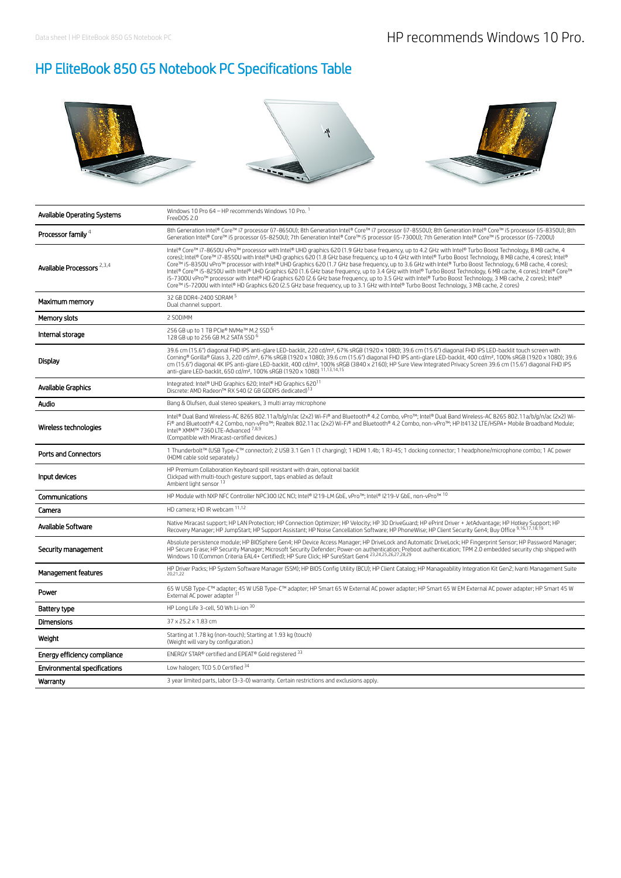# HP EliteBook 850 G5 Notebook PC Specifications Table



| Available Operating Systems         | Windows 10 Pro 64 - HP recommends Windows 10 Pro.<br>FreeDOS 2.0                                                                                                                                                                                                                                                                                                                                                                                                                                                                                                                                                                                                                                                                                                                                                                                                                                                                                                                  |
|-------------------------------------|-----------------------------------------------------------------------------------------------------------------------------------------------------------------------------------------------------------------------------------------------------------------------------------------------------------------------------------------------------------------------------------------------------------------------------------------------------------------------------------------------------------------------------------------------------------------------------------------------------------------------------------------------------------------------------------------------------------------------------------------------------------------------------------------------------------------------------------------------------------------------------------------------------------------------------------------------------------------------------------|
| Processor family 4                  | 8th Generation Intel® Core™ i7 processor (i7-8650U); 8th Generation Intel® Core™ i7 processor (i7-8550U); 8th Generation Intel® Core™ i5 processor (i5-8350U); 8th<br>Generation Intel® Core™ i5 processor (i5-8250U); 7th Generation Intel® Core™ i5 processor (i5-7300U); 7th Generation Intel® Core™ i5 processor (i5-7200U)                                                                                                                                                                                                                                                                                                                                                                                                                                                                                                                                                                                                                                                   |
| Available Processors 2,3,4          | Intel® Core™ i7-8650U vPro™ processor with Intel® UHD graphics 620 (1.9 GHz base frequency, up to 4.2 GHz with Intel® Turbo Boost Technology, 8 MB cache, 4<br>cores); Intel® Core™ i7-8550U with Intel® UHD graphics 620 (1.8 GHz base frequency, up to 4 GHz with Intel® Turbo Boost Technology, 8 MB cache, 4 cores); Intel®<br>Core™ i5-8350U vPro™ processor with Intel® UHD Graphics 620 (1.7 GHz base frequency, up to 3.6 GHz with Intel® Turbo Boost Technology, 6 MB cache, 4 cores);<br>Intel® Core™ i5-8250U with Intel® UHD Graphics 620 (1.6 GHz base frequency, up to 3.4 GHz with Intel® Turbo Boost Technology, 6 MB cache, 4 cores); Intel® Core™<br>i5-7300U vPro™ processor with Intel® HD Graphics 620 (2.6 GHz base frequency, up to 3.5 GHz with Intel® Turbo Boost Technology, 3 MB cache, 2 cores); Intel®<br>Core™ i5-7200U with Intel® HD Graphics 620 (2.5 GHz base frequency, up to 3.1 GHz with Intel® Turbo Boost Technology, 3 MB cache, 2 cores) |
| Maximum memory                      | 32 GB DDR4-2400 SDRAM 5<br>Dual channel support.                                                                                                                                                                                                                                                                                                                                                                                                                                                                                                                                                                                                                                                                                                                                                                                                                                                                                                                                  |
| Memory slots                        | 2 SODIMM                                                                                                                                                                                                                                                                                                                                                                                                                                                                                                                                                                                                                                                                                                                                                                                                                                                                                                                                                                          |
| Internal storage                    | 256 GB up to 1 TB PCIe® NVMe™ M.2 SSD 6<br>128 GB up to 256 GB M.2 SATA SSD 6                                                                                                                                                                                                                                                                                                                                                                                                                                                                                                                                                                                                                                                                                                                                                                                                                                                                                                     |
| Display                             | 39.6 cm (15.6") diagonal FHD IPS anti-glare LED-backlit, 220 cd/m <sup>2</sup> , 67% sRGB (1920 x 1080); 39.6 cm (15.6") diagonal FHD IPS LED-backlit touch screen with<br>Corninq® Gorilla® Glass 3, 220 cd/m <sup>2</sup> , 67% sRGB (1920 x 1080); 39.6 cm (15.6") diagonal FHD IPS anti-glare LED-backlit, 400 cd/m <sup>2</sup> , 100% sRGB (1920 x 1080); 39.6<br>cm (15.6") diagonal 4K IPS anti-glare LED-backlit, 400 cd/m <sup>2</sup> , 100% sRGB (3840 x 2160); HP Sure View Integrated Privacy Screen 39.6 cm (15.6") diagonal FHD IPS<br>anti-glare LED-backlit, 650 cd/m <sup>2</sup> , 100% sRGB (1920 x 1080) 11,13,14,15                                                                                                                                                                                                                                                                                                                                        |
| Available Graphics                  | Integrated: Intel® UHD Graphics 620; Intel® HD Graphics 620 <sup>11</sup><br>Discrete: AMD Radeon™ RX 540 (2 GB GDDR5 dedicated) <sup>13</sup>                                                                                                                                                                                                                                                                                                                                                                                                                                                                                                                                                                                                                                                                                                                                                                                                                                    |
| Audio                               | Bang & Olufsen, dual stereo speakers, 3 multi array microphone                                                                                                                                                                                                                                                                                                                                                                                                                                                                                                                                                                                                                                                                                                                                                                                                                                                                                                                    |
| Wireless technologies               | Intel® Dual Band Wireless-AC 8265 802.11a/b/g/n/ac (2x2) Wi-Fi® and Bluetooth® 4.2 Combo, vPro™; Intel® Dual Band Wireless-AC 8265 802.11a/b/g/n/ac (2x2) Wi-<br>Fi® and Bluetooth® 4.2 Combo, non-vPro™; Realtek 802.11ac (2x2) Wi-Fi® and Bluetooth® 4.2 Combo, non-vPro™; HP lt4132 LTE/HSPA+ Mobile Broadband Module;<br>Intel® XMM™ 7360 LTE-Advanced 7,8,9<br>(Compatible with Miracast-certified devices.)                                                                                                                                                                                                                                                                                                                                                                                                                                                                                                                                                                 |
| <b>Ports and Connectors</b>         | 1 Thunderbolt™ (USB Type-C™ connector); 2 USB 3.1 Gen 1 (1 charging); 1 HDMI 1.4b; 1 RJ-45; 1 docking connector; 1 headphone/microphone combo; 1 AC power<br>(HDMI cable sold separately.)                                                                                                                                                                                                                                                                                                                                                                                                                                                                                                                                                                                                                                                                                                                                                                                        |
| Input devices                       | HP Premium Collaboration Keyboard spill resistant with drain, optional backlit<br>Clickpad with multi-touch gesture support, taps enabled as default<br>Ambient light sensor 13                                                                                                                                                                                                                                                                                                                                                                                                                                                                                                                                                                                                                                                                                                                                                                                                   |
| Communications                      | HP Module with NXP NFC Controller NPC300 I2C NCI; Intel® I219-LM GbE, vPro™; Intel® I219-V GbE, non-vPro™ 10                                                                                                                                                                                                                                                                                                                                                                                                                                                                                                                                                                                                                                                                                                                                                                                                                                                                      |
| Camera                              | HD camera; HD IR webcam 11,12                                                                                                                                                                                                                                                                                                                                                                                                                                                                                                                                                                                                                                                                                                                                                                                                                                                                                                                                                     |
| Available Software                  | Native Miracast support; HP LAN Protection; HP Connection Optimizer; HP Velocity; HP 3D DriveGuard; HP ePrint Driver + JetAdvantage; HP Hotkey Support; HP<br>Recovery Manager; HP JumpStart; HP Support Assistant; HP Noise Cancellation Software; HP PhoneWise; HP Client Security Gen4; Buy Office 9,16,17,18,19                                                                                                                                                                                                                                                                                                                                                                                                                                                                                                                                                                                                                                                               |
| Security management                 | Absolute persistence module; HP BIOSphere Gen4; HP Device Access Manager; HP DriveLock and Automatic DriveLock; HP Fingerprint Sensor; HP Password Manager;<br>HP Secure Erase; HP Security Manager; Microsoft Security Defender; Power-on authentication; Preboot authentication; TPM 2.0 embedded security chip shipped with<br>Windows 10 (Common Criteria EAL4+ Certified); HP Sure Click; HP SureStart Gen4 23,24,25,26,27,28,29                                                                                                                                                                                                                                                                                                                                                                                                                                                                                                                                             |
| Management features                 | HP Driver Packs; HP System Software Manager (SSM); HP BIOS Config Utility (BCU); HP Client Catalog; HP Manageability Integration Kit Gen2; Ivanti Management Suite<br>20.21.22                                                                                                                                                                                                                                                                                                                                                                                                                                                                                                                                                                                                                                                                                                                                                                                                    |
| Power                               | 65 W USB Type-C™ adapter; 45 W USB Type-C™ adapter; HP Smart 65 W External AC power adapter; HP Smart 65 W EM External AC power adapter; HP Smart 45 W<br>External AC power adapter 31                                                                                                                                                                                                                                                                                                                                                                                                                                                                                                                                                                                                                                                                                                                                                                                            |
| Battery type                        | HP Long Life 3-cell, 50 Wh Li-ion 30                                                                                                                                                                                                                                                                                                                                                                                                                                                                                                                                                                                                                                                                                                                                                                                                                                                                                                                                              |
| Dimensions                          | 37 x 25.2 x 1.83 cm                                                                                                                                                                                                                                                                                                                                                                                                                                                                                                                                                                                                                                                                                                                                                                                                                                                                                                                                                               |
| Weight                              | Starting at 1.78 kg (non-touch); Starting at 1.93 kg (touch)<br>(Weight will vary by configuration.)                                                                                                                                                                                                                                                                                                                                                                                                                                                                                                                                                                                                                                                                                                                                                                                                                                                                              |
| Energy efficiency compliance        | ENERGY STAR® certified and EPEAT® Gold registered 33                                                                                                                                                                                                                                                                                                                                                                                                                                                                                                                                                                                                                                                                                                                                                                                                                                                                                                                              |
| <b>Environmental specifications</b> | Low halogen; TCO 5.0 Certified 34                                                                                                                                                                                                                                                                                                                                                                                                                                                                                                                                                                                                                                                                                                                                                                                                                                                                                                                                                 |
| Warranty                            | 3 year limited parts, labor (3-3-0) warranty. Certain restrictions and exclusions apply.                                                                                                                                                                                                                                                                                                                                                                                                                                                                                                                                                                                                                                                                                                                                                                                                                                                                                          |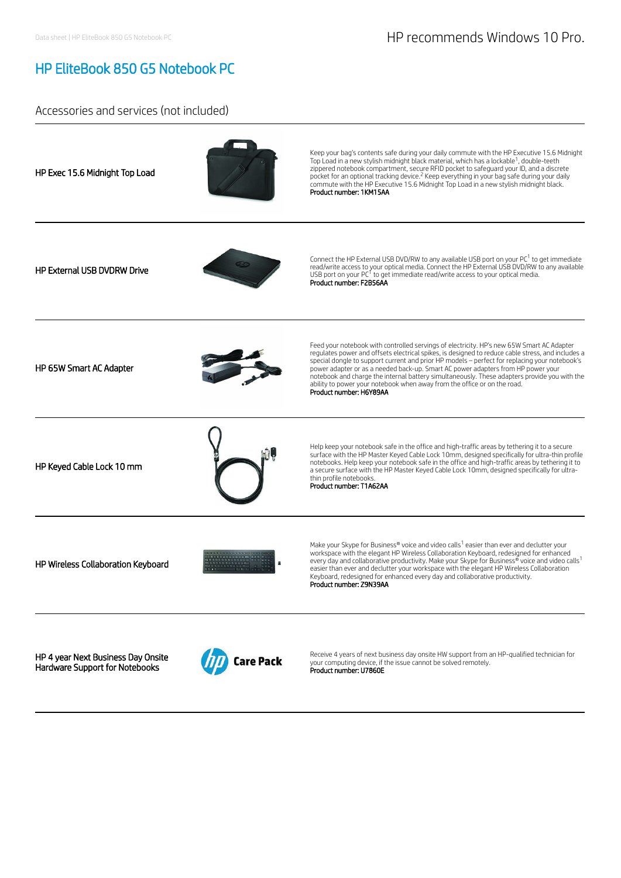## HP EliteBook 850 G5 Notebook PC

### Accessories and services (not included)



Hardware Support for Notebooks



your computing device, if the issue cannot be solved remotely.<br>**Product number: U7860E**